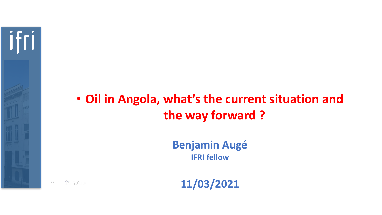

## • **Oil in Angola, what's the current situation and the way forward ?**

**Benjamin Augé IFRI fellow**

**11/03/2021**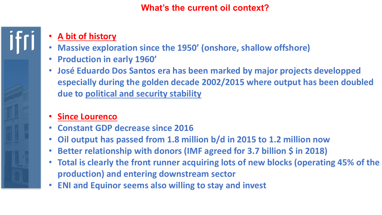## **What's the current oil context?**

## • **A bit of history**

ifri

- **Massive exploration since the 1950' (onshore, shallow offshore)**
- **Production in early 1960'**
- **José Eduardo Dos Santos era has been marked by major projects developped especially during the golden decade 2002/2015 where output has been doubled due to political and security stability**
- **Since Lourenco**
- **Constant GDP decrease since 2016**
- **Oil output has passed from 1.8 million b/d in 2015 to 1.2 million now**
- **Better relationship with donors (IMF agreed for 3.7 billion \$ in 2018)**
- **Total is clearly the front runner acquiring lots of new blocks (operating 45% of the production) and entering downstream sector**
- **ENI and Equinor seems also willing to stay and invest**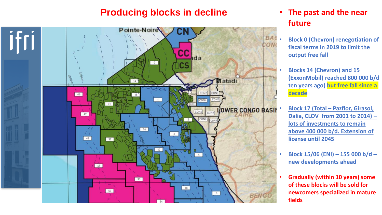## **Producing blocks in decline** • **The past and the near**



# **future**

- **Block 0 (Chevron) renegotiation of fiscal terms in 2019 to limit the output free fall**
- **Blocks 14 (Chevron) and 15 (ExxonMobil) reached 800 000 b/d ten years ago) but free fall since a decade**
- **Block 17 (Total – Pazflor, Girasol, Dalia, CLOV from 2001 to 2014) – lots of investments to remain above 400 000 b/d. Extension of license until 2045**
- **Block 15/06 (ENI) – 155 000 b/d – new developments ahead**
- **Gradually (within 10 years) some of these blocks will be sold for newcomers specialized in mature fields**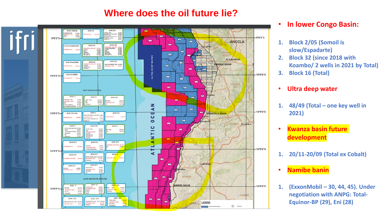## **Where does the oil future lie?**



#### • **In lower Congo Basin:**

- **1. Block 2/05 (Somoil is slow/Espadarte)**
- **2. Block 32 (since 2018 with Koambo/ 2 wells in 2021 by Total)**
- **3. Block 16 (Total)**
- **Ultra deep water**
- **1. 48/49 (Total one key well in 2021)**
- **Kwanza basin future development**
- **1. 20/11-20/09 (Total ex Cobalt)**
- **Namibe banin**
- **1. (ExxonMobil – 30, 44, 45). Under negotiation with ANPG: Total-Equinor-BP (29), Eni (28)**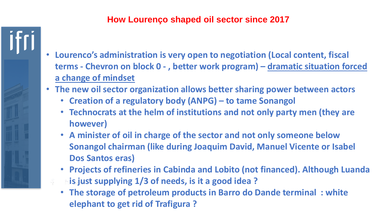## **How Lourenço shaped oil sector since 2017**

- **Lourenco's administration is very open to negotiation (Local content, fiscal terms - Chevron on block 0 - , better work program) – dramatic situation forced a change of mindset**
- **The new oil sector organization allows better sharing power between actors**
	- **Creation of a regulatory body (ANPG) – to tame Sonangol**
	- **Technocrats at the helm of institutions and not only party men (they are however)**
	- **A minister of oil in charge of the sector and not only someone below Sonangol chairman (like during Joaquim David, Manuel Vicente or Isabel Dos Santos eras)**
	- **Projects of refineries in Cabinda and Lobito (not financed). Although Luanda is just supplying 1/3 of needs, is it a good idea ?**
	- **The storage of petroleum products in Barro do Dande terminal : white elephant to get rid of Trafigura ?**